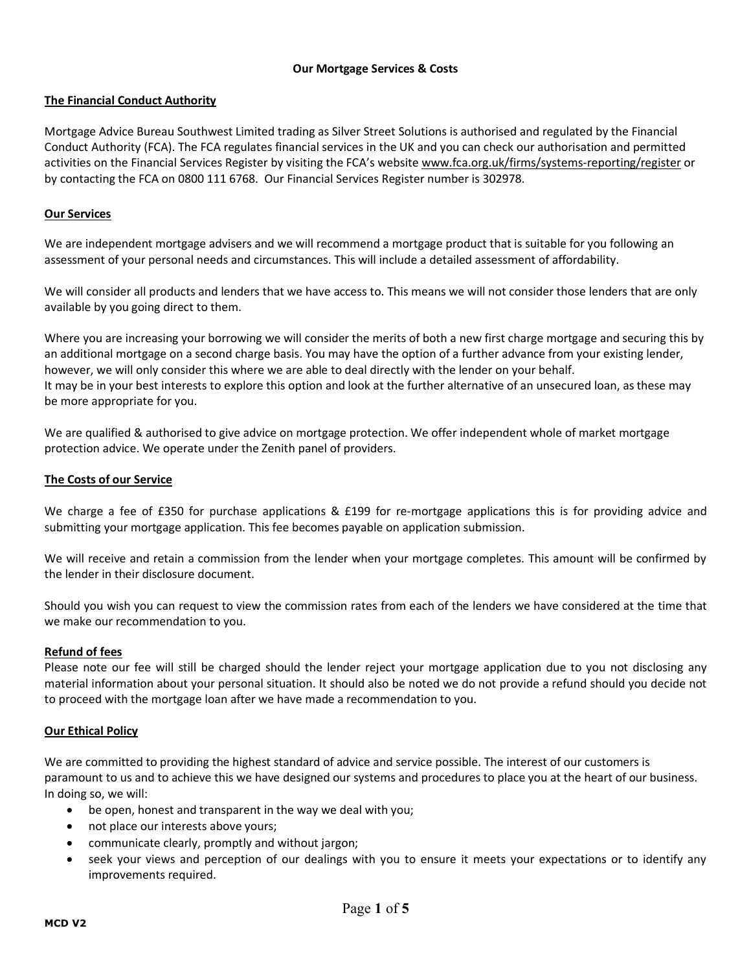# **Our Mortgage Services & Costs**

# **The Financial Conduct Authority**

Mortgage Advice Bureau Southwest Limited trading as Silver Street Solutions is authorised and regulated by the Financial Conduct Authority (FCA). The FCA regulates financial services in the UK and you can check our authorisation and permitted activities on the Financial Services Register by visiting the FCA's website www.fca.org.uk/firms/systems-reporting/register or by contacting the FCA on 0800 111 6768. Our Financial Services Register number is 302978.

## **Our Services**

We are independent mortgage advisers and we will recommend a mortgage product that is suitable for you following an assessment of your personal needs and circumstances. This will include a detailed assessment of affordability.

We will consider all products and lenders that we have access to. This means we will not consider those lenders that are only available by you going direct to them.

Where you are increasing your borrowing we will consider the merits of both a new first charge mortgage and securing this by an additional mortgage on a second charge basis. You may have the option of a further advance from your existing lender, however, we will only consider this where we are able to deal directly with the lender on your behalf. It may be in your best interests to explore this option and look at the further alternative of an unsecured loan, as these may be more appropriate for you.

We are qualified & authorised to give advice on mortgage protection. We offer independent whole of market mortgage protection advice. We operate under the Zenith panel of providers.

### **The Costs of our Service**

We charge a fee of £350 for purchase applications & £199 for re-mortgage applications this is for providing advice and submitting your mortgage application. This fee becomes payable on application submission.

We will receive and retain a commission from the lender when your mortgage completes. This amount will be confirmed by the lender in their disclosure document.

Should you wish you can request to view the commission rates from each of the lenders we have considered at the time that we make our recommendation to you.

### **Refund of fees**

Please note our fee will still be charged should the lender reject your mortgage application due to you not disclosing any material information about your personal situation. It should also be noted we do not provide a refund should you decide not to proceed with the mortgage loan after we have made a recommendation to you.

### **Our Ethical Policy**

We are committed to providing the highest standard of advice and service possible. The interest of our customers is paramount to us and to achieve this we have designed our systems and procedures to place you at the heart of our business. In doing so, we will:

- be open, honest and transparent in the way we deal with you;
- not place our interests above yours;
- communicate clearly, promptly and without jargon;
- seek your views and perception of our dealings with you to ensure it meets your expectations or to identify any improvements required.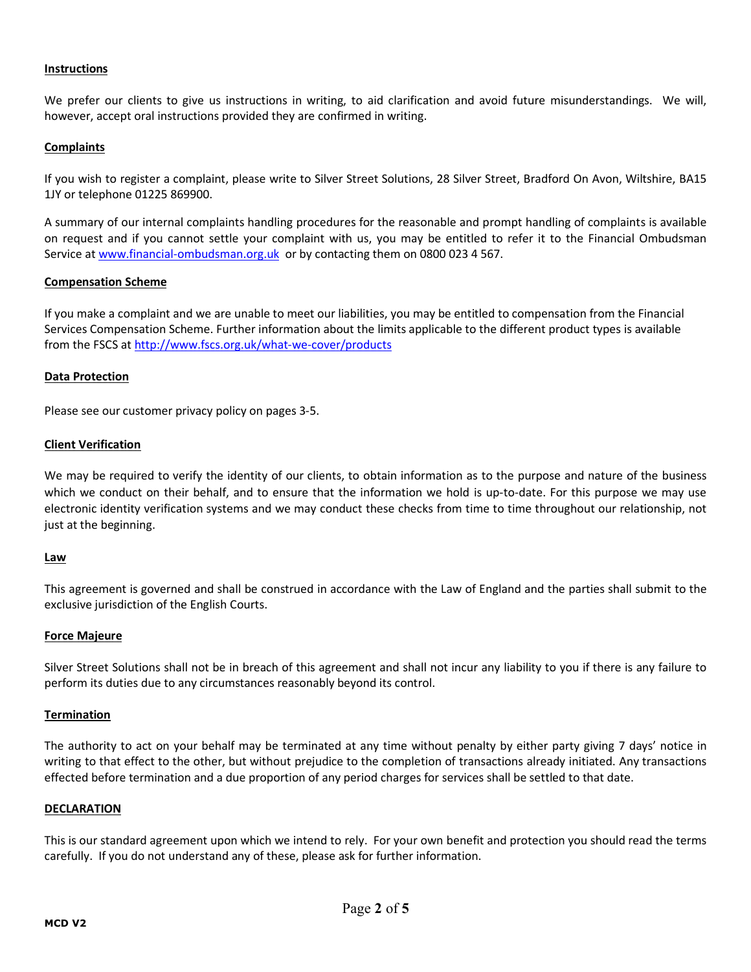## **Instructions**

We prefer our clients to give us instructions in writing, to aid clarification and avoid future misunderstandings. We will, however, accept oral instructions provided they are confirmed in writing.

## **Complaints**

If you wish to register a complaint, please write to Silver Street Solutions, 28 Silver Street, Bradford On Avon, Wiltshire, BA15 1JY or telephone 01225 869900.

A summary of our internal complaints handling procedures for the reasonable and prompt handling of complaints is available on request and if you cannot settle your complaint with us, you may be entitled to refer it to the Financial Ombudsman Service at www.financial-ombudsman.org.uk or by contacting them on 0800 023 4 567.

### **Compensation Scheme**

If you make a complaint and we are unable to meet our liabilities, you may be entitled to compensation from the Financial Services Compensation Scheme. Further information about the limits applicable to the different product types is available from the FSCS at http://www.fscs.org.uk/what-we-cover/products

### **Data Protection**

Please see our customer privacy policy on pages 3-5.

### **Client Verification**

We may be required to verify the identity of our clients, to obtain information as to the purpose and nature of the business which we conduct on their behalf, and to ensure that the information we hold is up-to-date. For this purpose we may use electronic identity verification systems and we may conduct these checks from time to time throughout our relationship, not just at the beginning.

### **Law**

This agreement is governed and shall be construed in accordance with the Law of England and the parties shall submit to the exclusive jurisdiction of the English Courts.

### **Force Majeure**

Silver Street Solutions shall not be in breach of this agreement and shall not incur any liability to you if there is any failure to perform its duties due to any circumstances reasonably beyond its control.

#### **Termination**

The authority to act on your behalf may be terminated at any time without penalty by either party giving 7 days' notice in writing to that effect to the other, but without prejudice to the completion of transactions already initiated. Any transactions effected before termination and a due proportion of any period charges for services shall be settled to that date.

#### **DECLARATION**

This is our standard agreement upon which we intend to rely. For your own benefit and protection you should read the terms carefully. If you do not understand any of these, please ask for further information.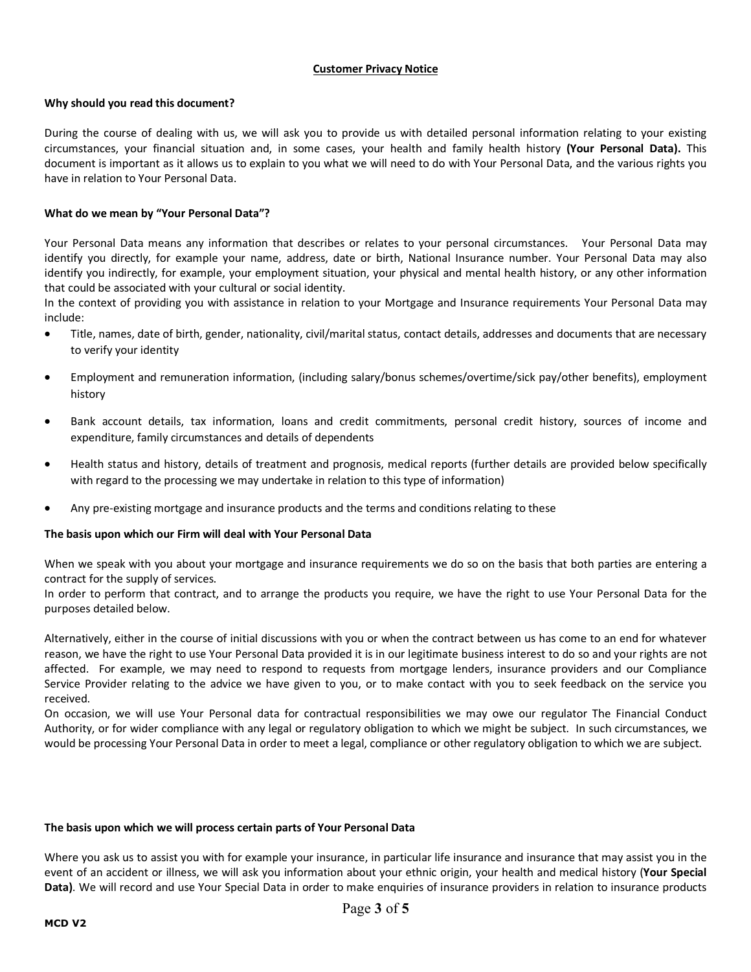## **Customer Privacy Notice**

### **Why should you read this document?**

During the course of dealing with us, we will ask you to provide us with detailed personal information relating to your existing circumstances, your financial situation and, in some cases, your health and family health history **(Your Personal Data).** This document is important as it allows us to explain to you what we will need to do with Your Personal Data, and the various rights you have in relation to Your Personal Data.

### **What do we mean by "Your Personal Data"?**

Your Personal Data means any information that describes or relates to your personal circumstances. Your Personal Data may identify you directly, for example your name, address, date or birth, National Insurance number. Your Personal Data may also identify you indirectly, for example, your employment situation, your physical and mental health history, or any other information that could be associated with your cultural or social identity.

In the context of providing you with assistance in relation to your Mortgage and Insurance requirements Your Personal Data may include:

- Title, names, date of birth, gender, nationality, civil/marital status, contact details, addresses and documents that are necessary to verify your identity
- Employment and remuneration information, (including salary/bonus schemes/overtime/sick pay/other benefits), employment history
- Bank account details, tax information, loans and credit commitments, personal credit history, sources of income and expenditure, family circumstances and details of dependents
- Health status and history, details of treatment and prognosis, medical reports (further details are provided below specifically with regard to the processing we may undertake in relation to this type of information)
- Any pre-existing mortgage and insurance products and the terms and conditions relating to these

### **The basis upon which our Firm will deal with Your Personal Data**

When we speak with you about your mortgage and insurance requirements we do so on the basis that both parties are entering a contract for the supply of services.

In order to perform that contract, and to arrange the products you require, we have the right to use Your Personal Data for the purposes detailed below.

Alternatively, either in the course of initial discussions with you or when the contract between us has come to an end for whatever reason, we have the right to use Your Personal Data provided it is in our legitimate business interest to do so and your rights are not affected. For example, we may need to respond to requests from mortgage lenders, insurance providers and our Compliance Service Provider relating to the advice we have given to you, or to make contact with you to seek feedback on the service you received.

On occasion, we will use Your Personal data for contractual responsibilities we may owe our regulator The Financial Conduct Authority, or for wider compliance with any legal or regulatory obligation to which we might be subject. In such circumstances, we would be processing Your Personal Data in order to meet a legal, compliance or other regulatory obligation to which we are subject.

#### **The basis upon which we will process certain parts of Your Personal Data**

Where you ask us to assist you with for example your insurance, in particular life insurance and insurance that may assist you in the event of an accident or illness, we will ask you information about your ethnic origin, your health and medical history (**Your Special Data)**. We will record and use Your Special Data in order to make enquiries of insurance providers in relation to insurance products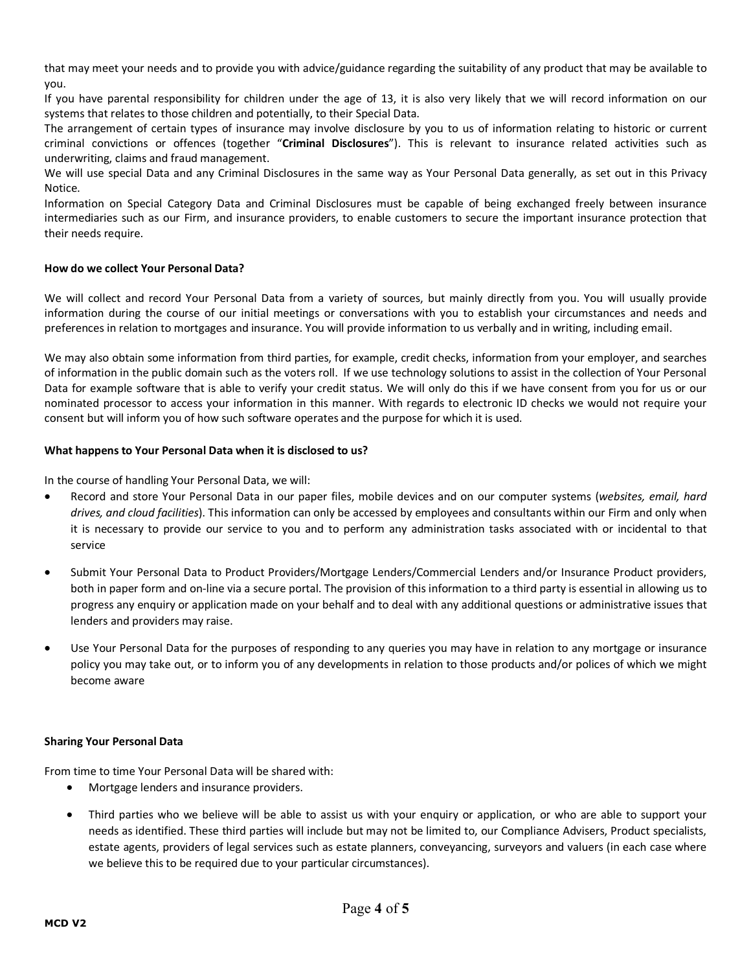that may meet your needs and to provide you with advice/guidance regarding the suitability of any product that may be available to you.

If you have parental responsibility for children under the age of 13, it is also very likely that we will record information on our systems that relates to those children and potentially, to their Special Data.

The arrangement of certain types of insurance may involve disclosure by you to us of information relating to historic or current criminal convictions or offences (together "**Criminal Disclosures**"). This is relevant to insurance related activities such as underwriting, claims and fraud management.

We will use special Data and any Criminal Disclosures in the same way as Your Personal Data generally, as set out in this Privacy Notice.

Information on Special Category Data and Criminal Disclosures must be capable of being exchanged freely between insurance intermediaries such as our Firm, and insurance providers, to enable customers to secure the important insurance protection that their needs require.

### **How do we collect Your Personal Data?**

We will collect and record Your Personal Data from a variety of sources, but mainly directly from you. You will usually provide information during the course of our initial meetings or conversations with you to establish your circumstances and needs and preferences in relation to mortgages and insurance. You will provide information to us verbally and in writing, including email.

We may also obtain some information from third parties, for example, credit checks, information from your employer, and searches of information in the public domain such as the voters roll. If we use technology solutions to assist in the collection of Your Personal Data for example software that is able to verify your credit status. We will only do this if we have consent from you for us or our nominated processor to access your information in this manner. With regards to electronic ID checks we would not require your consent but will inform you of how such software operates and the purpose for which it is used.

### **What happens to Your Personal Data when it is disclosed to us?**

In the course of handling Your Personal Data, we will:

- Record and store Your Personal Data in our paper files, mobile devices and on our computer systems (*websites, email, hard drives, and cloud facilities*). This information can only be accessed by employees and consultants within our Firm and only when it is necessary to provide our service to you and to perform any administration tasks associated with or incidental to that service
- Submit Your Personal Data to Product Providers/Mortgage Lenders/Commercial Lenders and/or Insurance Product providers, both in paper form and on-line via a secure portal. The provision of this information to a third party is essential in allowing us to progress any enquiry or application made on your behalf and to deal with any additional questions or administrative issues that lenders and providers may raise.
- Use Your Personal Data for the purposes of responding to any queries you may have in relation to any mortgage or insurance policy you may take out, or to inform you of any developments in relation to those products and/or polices of which we might become aware

### **Sharing Your Personal Data**

From time to time Your Personal Data will be shared with:

- Mortgage lenders and insurance providers.
- Third parties who we believe will be able to assist us with your enquiry or application, or who are able to support your needs as identified. These third parties will include but may not be limited to, our Compliance Advisers, Product specialists, estate agents, providers of legal services such as estate planners, conveyancing, surveyors and valuers (in each case where we believe this to be required due to your particular circumstances).